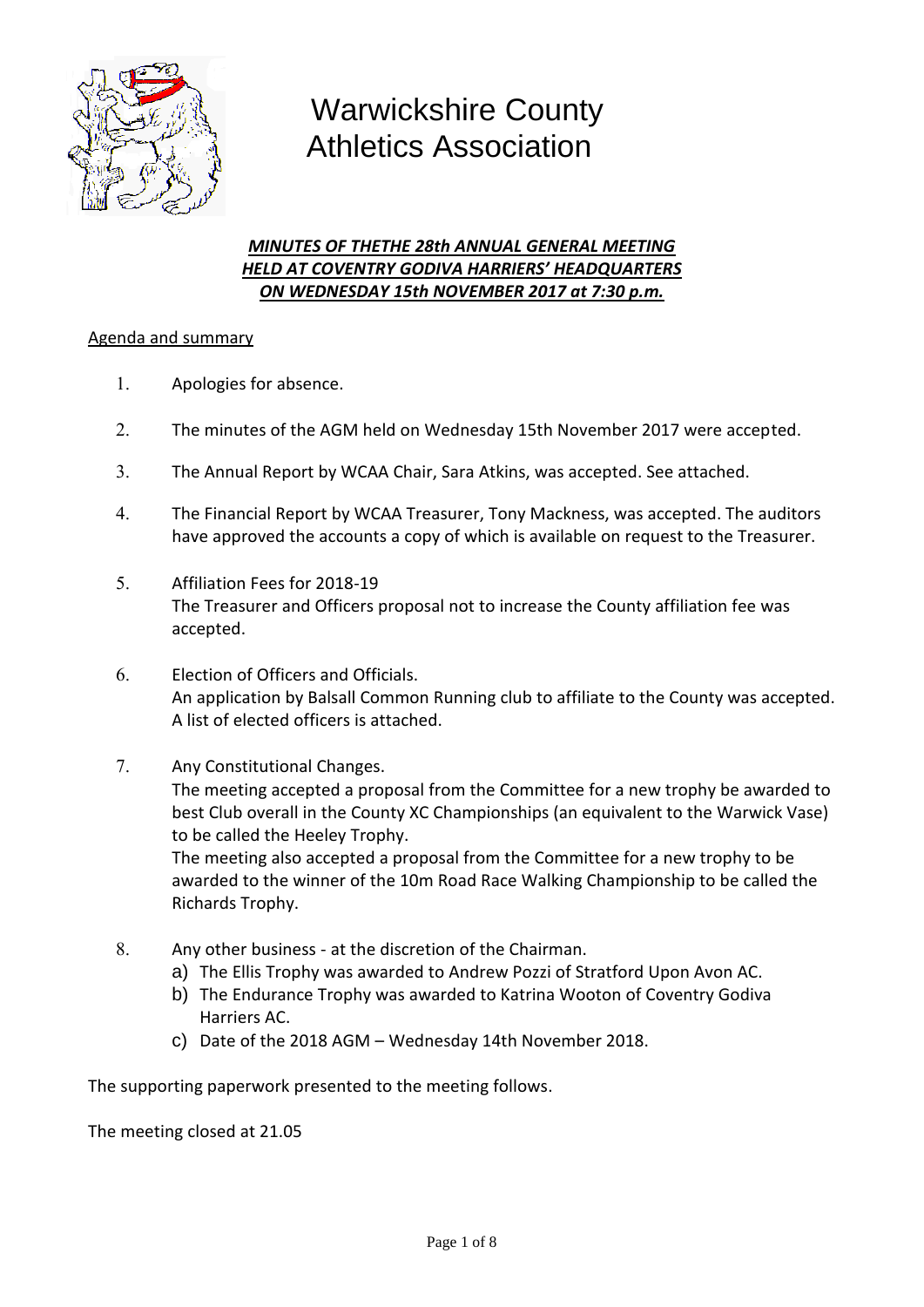

# Warwickshire County Athletics Association

# *MINUTES OF THETHE 28th ANNUAL GENERAL MEETING HELD AT COVENTRY GODIVA HARRIERS' HEADQUARTERS ON WEDNESDAY 15th NOVEMBER 2017 at 7:30 p.m.*

# Agenda and summary

- Apologies for absence.
- The minutes of the AGM held on Wednesday 15th November 2017 were accepted.
- The Annual Report by WCAA Chair, Sara Atkins, was accepted. See attached.
- The Financial Report by WCAA Treasurer, Tony Mackness, was accepted. The auditors have approved the accounts a copy of which is available on request to the Treasurer.
- Affiliation Fees for 2018-19 The Treasurer and Officers proposal not to increase the County affiliation fee was accepted.
- Election of Officers and Officials. An application by Balsall Common Running club to affiliate to the County was accepted. A list of elected officers is attached.
- 7. Any Constitutional Changes.

The meeting accepted a proposal from the Committee for a new trophy be awarded to best Club overall in the County XC Championships (an equivalent to the Warwick Vase) to be called the Heeley Trophy.

The meeting also accepted a proposal from the Committee for a new trophy to be awarded to the winner of the 10m Road Race Walking Championship to be called the Richards Trophy.

- Any other business at the discretion of the Chairman.
	- a) The Ellis Trophy was awarded to Andrew Pozzi of Stratford Upon Avon AC.
	- b) The Endurance Trophy was awarded to Katrina Wooton of Coventry Godiva Harriers AC.
	- c) Date of the 2018 AGM Wednesday 14th November 2018.

The supporting paperwork presented to the meeting follows.

The meeting closed at 21.05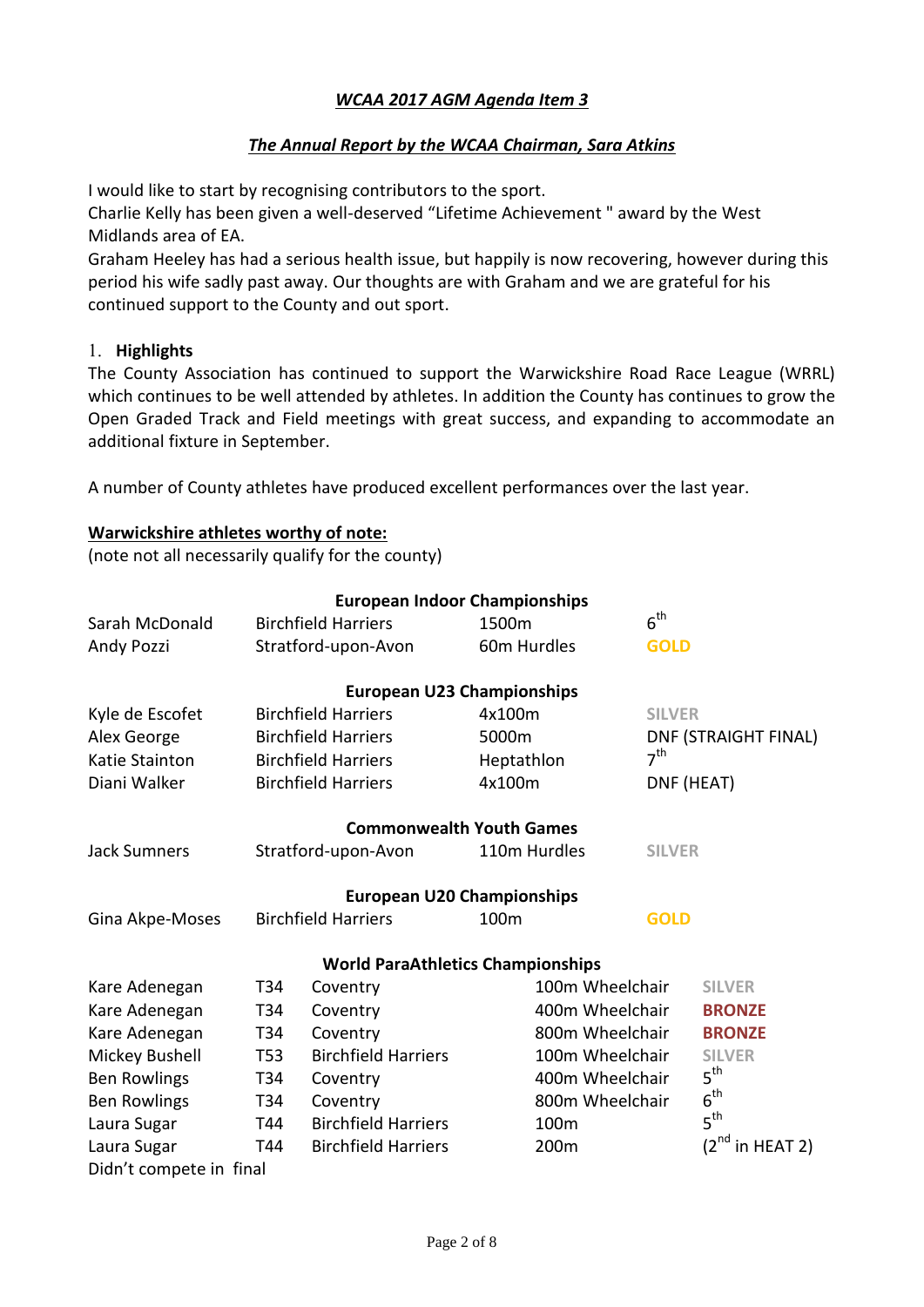# *WCAA 2017 AGM Agenda Item 3*

# *The Annual Report by the WCAA Chairman, Sara Atkins*

I would like to start by recognising contributors to the sport.

Charlie Kelly has been given a well-deserved "Lifetime Achievement " award by the West Midlands area of EA.

Graham Heeley has had a serious health issue, but happily is now recovering, however during this period his wife sadly past away. Our thoughts are with Graham and we are grateful for his continued support to the County and out sport.

#### **Highlights**

The County Association has continued to support the Warwickshire Road Race League (WRRL) which continues to be well attended by athletes. In addition the County has continues to grow the Open Graded Track and Field meetings with great success, and expanding to accommodate an additional fixture in September.

A number of County athletes have produced excellent performances over the last year.

#### **Warwickshire athletes worthy of note:**

(note not all necessarily qualify for the county)

|                                                            |     | <b>European Indoor Championships</b>     |               |                 |                      |                      |
|------------------------------------------------------------|-----|------------------------------------------|---------------|-----------------|----------------------|----------------------|
| Sarah McDonald                                             |     | <b>Birchfield Harriers</b>               | 1500m         |                 | $6^{\text{th}}$      |                      |
| Andy Pozzi<br>Stratford-upon-Avon                          |     | 60m Hurdles                              |               | <b>GOLD</b>     |                      |                      |
|                                                            |     | <b>European U23 Championships</b>        |               |                 |                      |                      |
| Kyle de Escofet                                            |     | <b>Birchfield Harriers</b>               | 4x100m        |                 | <b>SILVER</b>        |                      |
| Alex George                                                |     | <b>Birchfield Harriers</b>               | 5000m         |                 | DNF (STRAIGHT FINAL) |                      |
| <b>Katie Stainton</b>                                      |     | <b>Birchfield Harriers</b>               | Heptathlon    |                 | 7 <sup>th</sup>      |                      |
| Diani Walker                                               |     | <b>Birchfield Harriers</b>               | 4x100m        |                 | DNF (HEAT)           |                      |
|                                                            |     | <b>Commonwealth Youth Games</b>          |               |                 |                      |                      |
| Stratford-upon-Avon<br>110m Hurdles<br><b>Jack Sumners</b> |     |                                          | <b>SILVER</b> |                 |                      |                      |
|                                                            |     | <b>European U20 Championships</b>        |               |                 |                      |                      |
| Gina Akpe-Moses                                            |     | <b>Birchfield Harriers</b>               | 100m          |                 | <b>GOLD</b>          |                      |
|                                                            |     | <b>World ParaAthletics Championships</b> |               |                 |                      |                      |
| Kare Adenegan                                              | T34 | Coventry                                 |               | 100m Wheelchair |                      | <b>SILVER</b>        |
| Kare Adenegan                                              | T34 | Coventry                                 |               | 400m Wheelchair |                      | <b>BRONZE</b>        |
| Kare Adenegan                                              | T34 | Coventry                                 |               | 800m Wheelchair |                      | <b>BRONZE</b>        |
| Mickey Bushell                                             | T53 | <b>Birchfield Harriers</b>               |               | 100m Wheelchair |                      | <b>SILVER</b>        |
| <b>Ben Rowlings</b>                                        | T34 | Coventry                                 |               | 400m Wheelchair |                      | $5^{\text{th}}$      |
| <b>Ben Rowlings</b>                                        | T34 | Coventry                                 |               | 800m Wheelchair |                      | $6^{\text{th}}$      |
| Laura Sugar                                                | T44 | <b>Birchfield Harriers</b>               | 100m          |                 |                      | 5 <sup>th</sup>      |
| Laura Sugar                                                | T44 | <b>Birchfield Harriers</b>               | 200m          |                 |                      | $(2^{nd}$ in HEAT 2) |
| Didn't compete in final                                    |     |                                          |               |                 |                      |                      |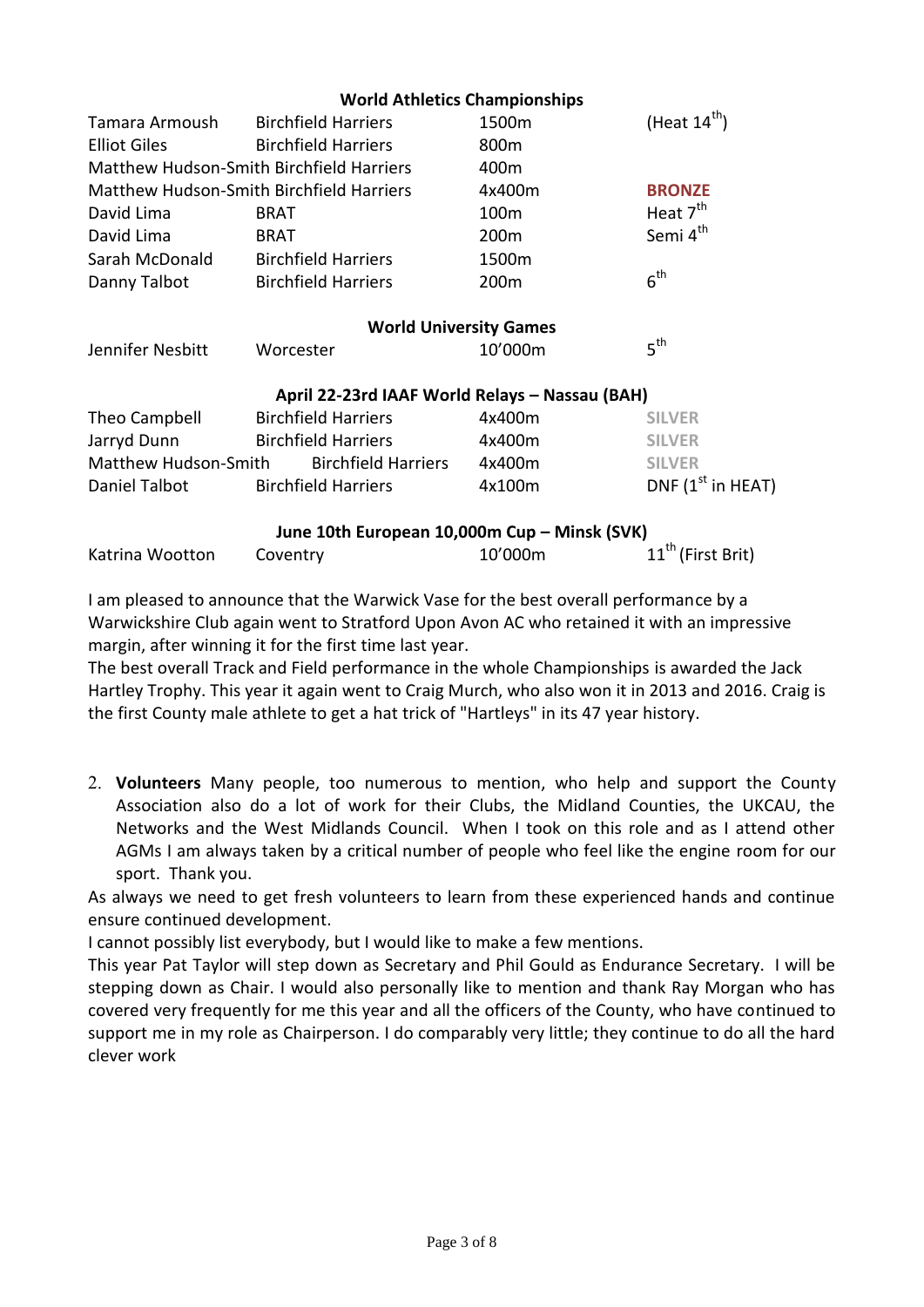|                      | <b>World Athletics Championships</b>            |                               |                               |
|----------------------|-------------------------------------------------|-------------------------------|-------------------------------|
| Tamara Armoush       | <b>Birchfield Harriers</b>                      | 1500m                         | (Heat $14^{\text{th}}$ )      |
| <b>Elliot Giles</b>  | <b>Birchfield Harriers</b>                      | 800 <sub>m</sub>              |                               |
|                      | Matthew Hudson-Smith Birchfield Harriers        | 400m                          |                               |
|                      | <b>Matthew Hudson-Smith Birchfield Harriers</b> | 4x400m                        | <b>BRONZE</b>                 |
| David Lima           | <b>BRAT</b>                                     | 100 <sub>m</sub>              | Heat 7 <sup>th</sup>          |
| David Lima           | <b>BRAT</b>                                     | 200m                          | Semi 4 <sup>th</sup>          |
| Sarah McDonald       | <b>Birchfield Harriers</b>                      | 1500m                         |                               |
| Danny Talbot         | <b>Birchfield Harriers</b>                      | 200m                          | 6 <sup>th</sup>               |
|                      |                                                 | <b>World University Games</b> |                               |
| Jennifer Nesbitt     | Worcester                                       | 10'000m                       | 5 <sup>th</sup>               |
|                      | April 22-23rd IAAF World Relays - Nassau (BAH)  |                               |                               |
| Theo Campbell        | <b>Birchfield Harriers</b>                      | 4x400m                        | <b>SILVER</b>                 |
| Jarryd Dunn          | <b>Birchfield Harriers</b>                      | 4x400m                        | <b>SILVER</b>                 |
| Matthew Hudson-Smith | <b>Birchfield Harriers</b>                      | 4x400m                        | <b>SILVER</b>                 |
| Daniel Talbot        | <b>Birchfield Harriers</b>                      | 4x100m                        | DNF $(1st$ in HEAT)           |
|                      | June 10th European 10,000m Cup - Minsk (SVK)    |                               |                               |
| Katrina Wootton      | Coventry                                        | 10'000m                       | 11 <sup>th</sup> (First Brit) |

I am pleased to announce that the Warwick Vase for the best overall performance by a Warwickshire Club again went to Stratford Upon Avon AC who retained it with an impressive margin, after winning it for the first time last year.

The best overall Track and Field performance in the whole Championships is awarded the Jack Hartley Trophy. This year it again went to Craig Murch, who also won it in 2013 and 2016. Craig is the first County male athlete to get a hat trick of "Hartleys" in its 47 year history.

 **Volunteers** Many people, too numerous to mention, who help and support the County Association also do a lot of work for their Clubs, the Midland Counties, the UKCAU, the Networks and the West Midlands Council. When I took on this role and as I attend other AGMs I am always taken by a critical number of people who feel like the engine room for our sport. Thank you.

As always we need to get fresh volunteers to learn from these experienced hands and continue ensure continued development.

I cannot possibly list everybody, but I would like to make a few mentions.

This year Pat Taylor will step down as Secretary and Phil Gould as Endurance Secretary. I will be stepping down as Chair. I would also personally like to mention and thank Ray Morgan who has covered very frequently for me this year and all the officers of the County, who have continued to support me in my role as Chairperson. I do comparably very little; they continue to do all the hard clever work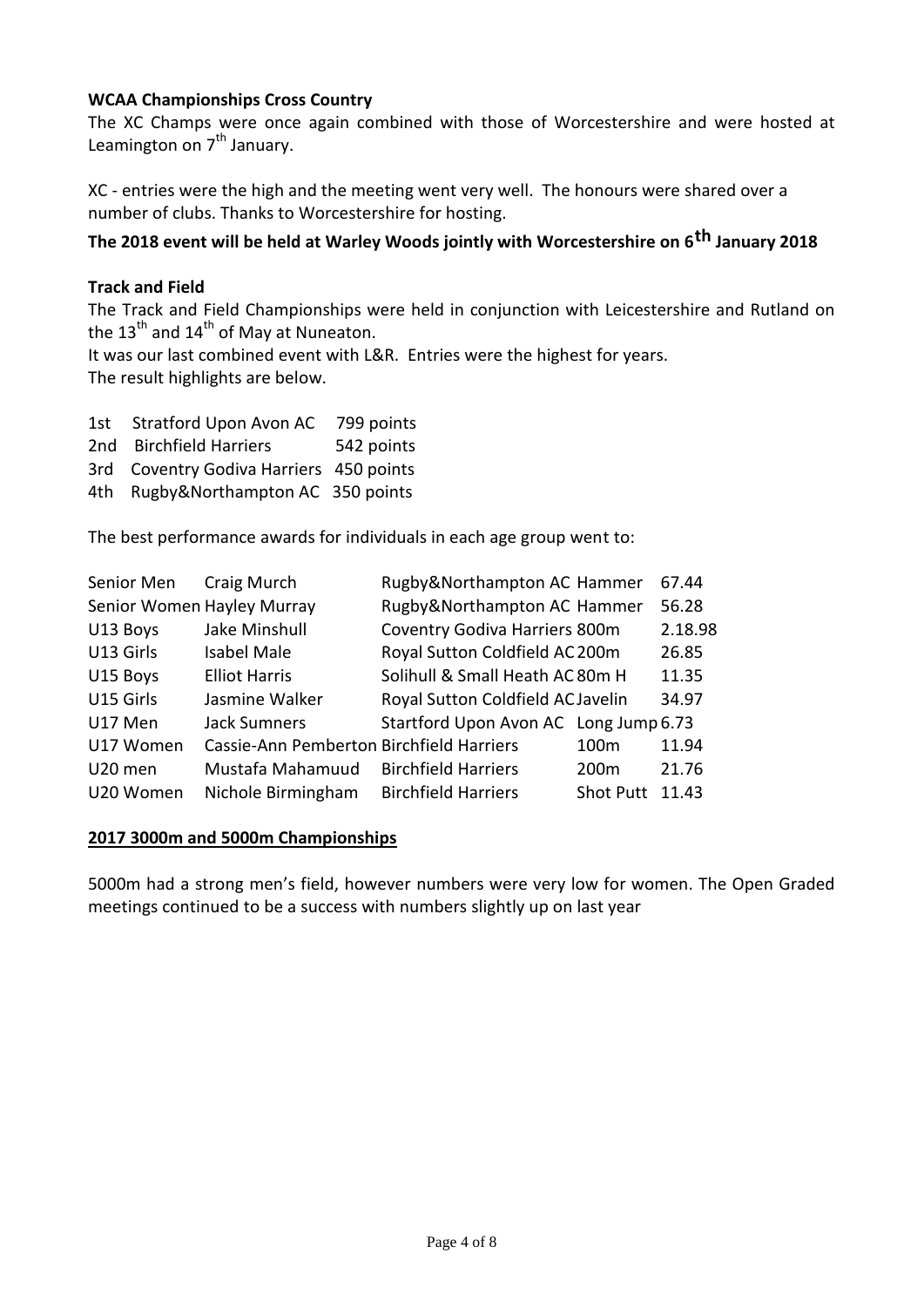# **WCAA Championships Cross Country**

The XC Champs were once again combined with those of Worcestershire and were hosted at Leamington on 7<sup>th</sup> January.

XC - entries were the high and the meeting went very well. The honours were shared over a number of clubs. Thanks to Worcestershire for hosting.

# **The 2018 event will be held at Warley Woods jointly with Worcestershire on 6th January 2018**

#### **Track and Field**

The Track and Field Championships were held in conjunction with Leicestershire and Rutland on the  $13<sup>th</sup>$  and  $14<sup>th</sup>$  of May at Nuneaton.

It was our last combined event with L&R. Entries were the highest for years. The result highlights are below.

|       | 1st Stratford Upon Avon AC              | 799 points |
|-------|-----------------------------------------|------------|
|       | 2nd Birchfield Harriers                 | 542 points |
|       | 3rd Coventry Godiva Harriers 450 points |            |
| 4th - | Rugby&Northampton AC 350 points         |            |

The best performance awards for individuals in each age group went to:

| Senior Men | Craig Murch                              | Rugby&Northampton AC Hammer           |                  | 67.44   |
|------------|------------------------------------------|---------------------------------------|------------------|---------|
|            | Senior Women Hayley Murray               | Rugby&Northampton AC Hammer           |                  | 56.28   |
| U13 Boys   | Jake Minshull                            | Coventry Godiva Harriers 800m         |                  | 2.18.98 |
| U13 Girls  | <b>Isabel Male</b>                       | Royal Sutton Coldfield AC 200m        |                  | 26.85   |
| U15 Boys   | <b>Elliot Harris</b>                     | Solihull & Small Heath AC 80m H       |                  | 11.35   |
| U15 Girls  | Jasmine Walker                           | Royal Sutton Coldfield AC Javelin     |                  | 34.97   |
| U17 Men    | <b>Jack Sumners</b>                      | Startford Upon Avon AC Long Jump 6.73 |                  |         |
| U17 Women  | Cassie-Ann Pemberton Birchfield Harriers |                                       | 100 <sub>m</sub> | 11.94   |
| U20 men    | Mustafa Mahamuud                         | <b>Birchfield Harriers</b>            | 200 <sub>m</sub> | 21.76   |
| U20 Women  | Nichole Birmingham                       | <b>Birchfield Harriers</b>            | <b>Shot Putt</b> | 11.43   |

#### **2017 3000m and 5000m Championships**

5000m had a strong men's field, however numbers were very low for women. The Open Graded meetings continued to be a success with numbers slightly up on last year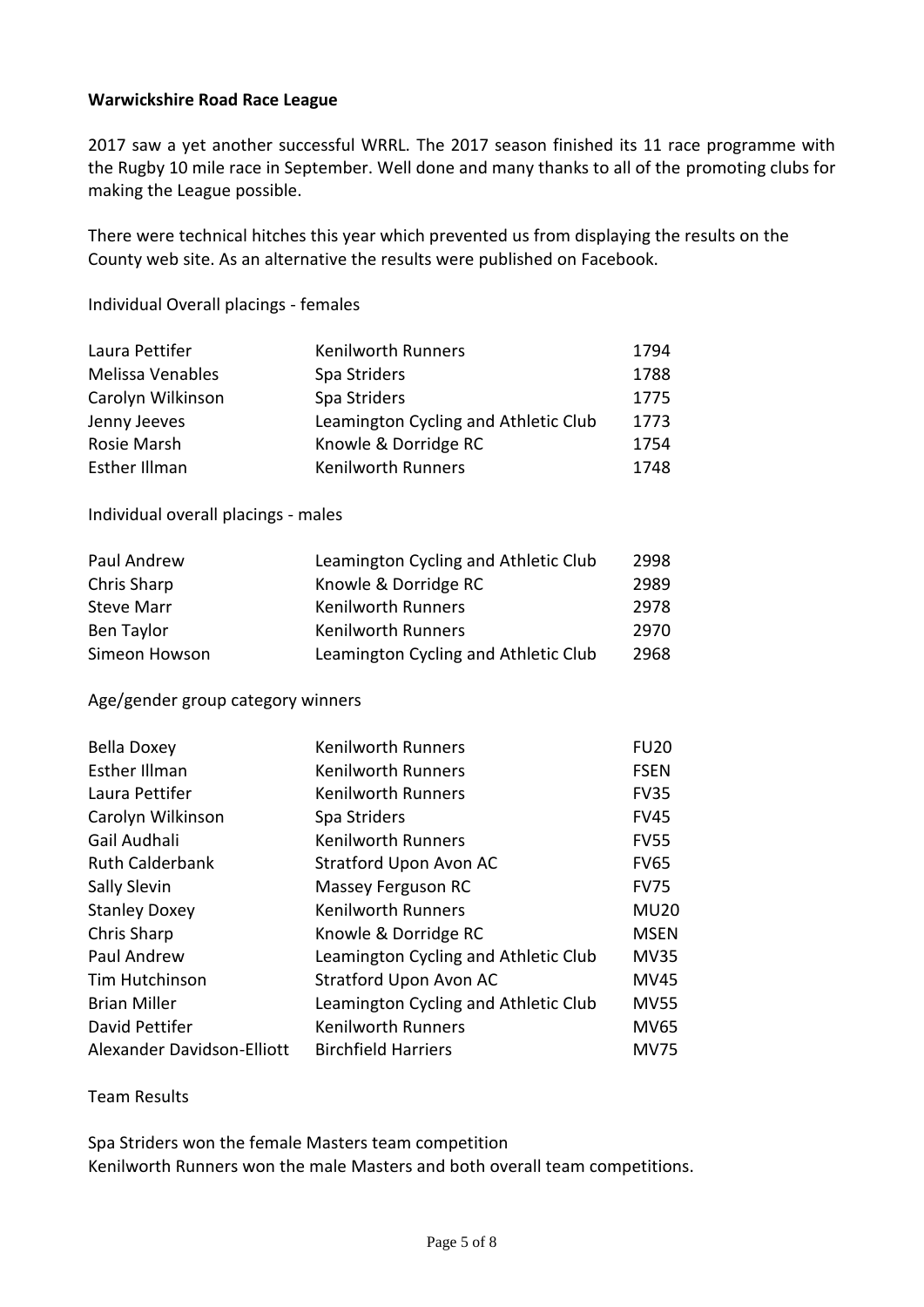### **Warwickshire Road Race League**

2017 saw a yet another successful WRRL. The 2017 season finished its 11 race programme with the Rugby 10 mile race in September. Well done and many thanks to all of the promoting clubs for making the League possible.

There were technical hitches this year which prevented us from displaying the results on the County web site. As an alternative the results were published on Facebook.

Individual Overall placings - females

| Laura Pettifer       | <b>Kenilworth Runners</b>            | 1794 |
|----------------------|--------------------------------------|------|
| Melissa Venables     | Spa Striders                         | 1788 |
| Carolyn Wilkinson    | Spa Striders                         | 1775 |
| Jenny Jeeves         | Leamington Cycling and Athletic Club | 1773 |
| Rosie Marsh          | Knowle & Dorridge RC                 | 1754 |
| <b>Esther Illman</b> | <b>Kenilworth Runners</b>            | 1748 |

Individual overall placings - males

| Paul Andrew       | Leamington Cycling and Athletic Club | 2998 |
|-------------------|--------------------------------------|------|
| Chris Sharp       | Knowle & Dorridge RC                 | 2989 |
| <b>Steve Marr</b> | <b>Kenilworth Runners</b>            | 2978 |
| Ben Taylor        | <b>Kenilworth Runners</b>            | 2970 |
| Simeon Howson     | Leamington Cycling and Athletic Club | 2968 |

Age/gender group category winners

| <b>Bella Doxey</b>         | <b>Kenilworth Runners</b>            | <b>FU20</b> |
|----------------------------|--------------------------------------|-------------|
| <b>Esther Illman</b>       | <b>Kenilworth Runners</b>            | <b>FSEN</b> |
| Laura Pettifer             | <b>Kenilworth Runners</b>            | <b>FV35</b> |
| Carolyn Wilkinson          | Spa Striders                         | <b>FV45</b> |
| Gail Audhali               | <b>Kenilworth Runners</b>            | <b>FV55</b> |
| <b>Ruth Calderbank</b>     | <b>Stratford Upon Avon AC</b>        | <b>FV65</b> |
| Sally Slevin               | Massey Ferguson RC                   | <b>FV75</b> |
| <b>Stanley Doxey</b>       | <b>Kenilworth Runners</b>            | <b>MU20</b> |
| Chris Sharp                | Knowle & Dorridge RC                 | <b>MSEN</b> |
| Paul Andrew                | Leamington Cycling and Athletic Club | <b>MV35</b> |
| Tim Hutchinson             | <b>Stratford Upon Avon AC</b>        | <b>MV45</b> |
| <b>Brian Miller</b>        | Leamington Cycling and Athletic Club | <b>MV55</b> |
| David Pettifer             | Kenilworth Runners                   | <b>MV65</b> |
| Alexander Davidson-Elliott | <b>Birchfield Harriers</b>           | <b>MV75</b> |

Team Results

Spa Striders won the female Masters team competition Kenilworth Runners won the male Masters and both overall team competitions.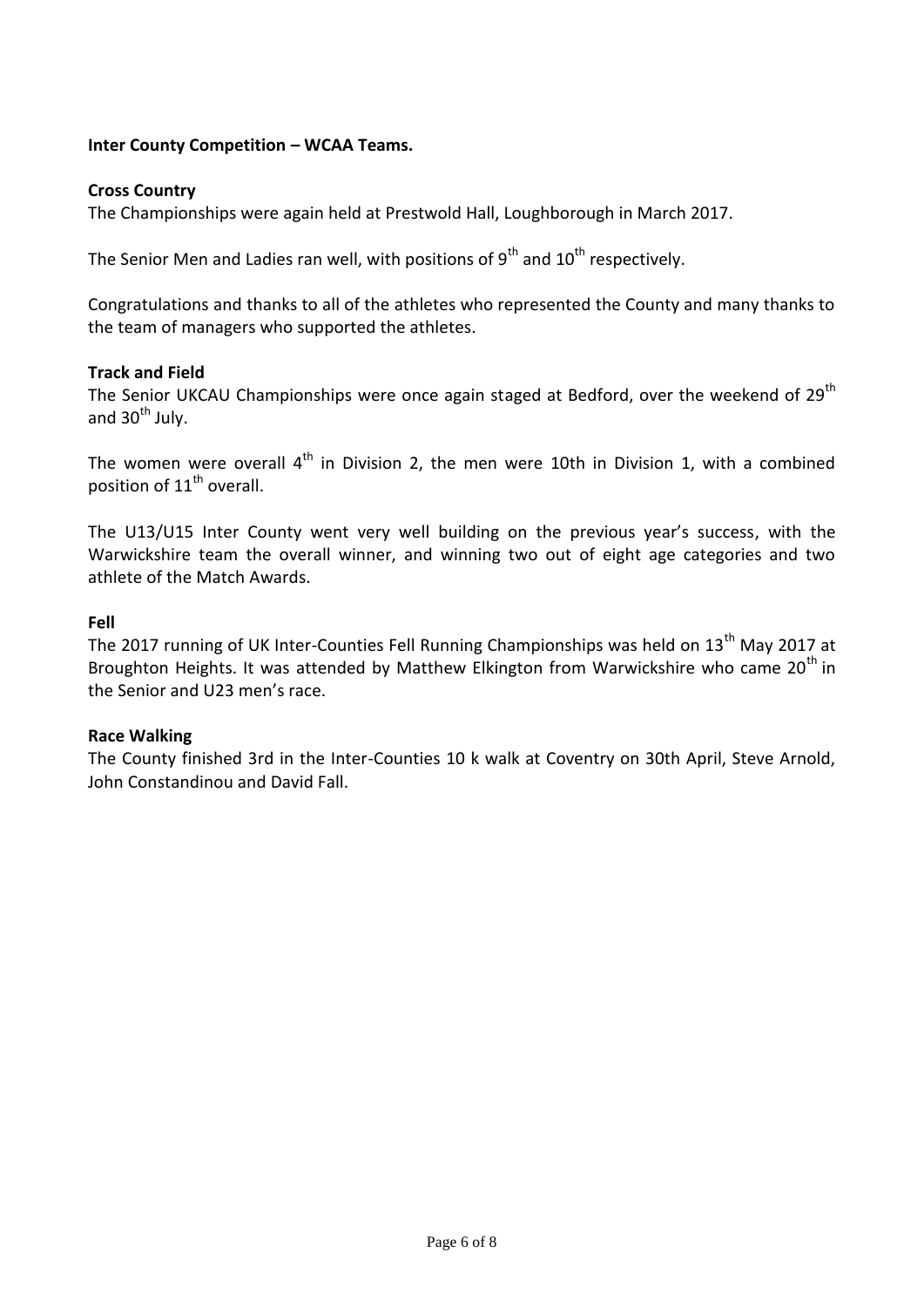### **Inter County Competition – WCAA Teams.**

#### **Cross Country**

The Championships were again held at Prestwold Hall, Loughborough in March 2017.

The Senior Men and Ladies ran well, with positions of  $9<sup>th</sup>$  and  $10<sup>th</sup>$  respectively.

Congratulations and thanks to all of the athletes who represented the County and many thanks to the team of managers who supported the athletes.

#### **Track and Field**

The Senior UKCAU Championships were once again staged at Bedford, over the weekend of 29<sup>th</sup> and  $30<sup>th</sup>$  July.

The women were overall  $4<sup>th</sup>$  in Division 2, the men were 10th in Division 1, with a combined position of 11<sup>th</sup> overall.

The U13/U15 Inter County went very well building on the previous year's success, with the Warwickshire team the overall winner, and winning two out of eight age categories and two athlete of the Match Awards.

#### **Fell**

The 2017 running of UK Inter-Counties Fell Running Championships was held on 13<sup>th</sup> May 2017 at Broughton Heights. It was attended by Matthew Elkington from Warwickshire who came 20<sup>th</sup> in the Senior and U23 men's race.

#### **Race Walking**

The County finished 3rd in the Inter-Counties 10 k walk at Coventry on 30th April, Steve Arnold, John Constandinou and David Fall.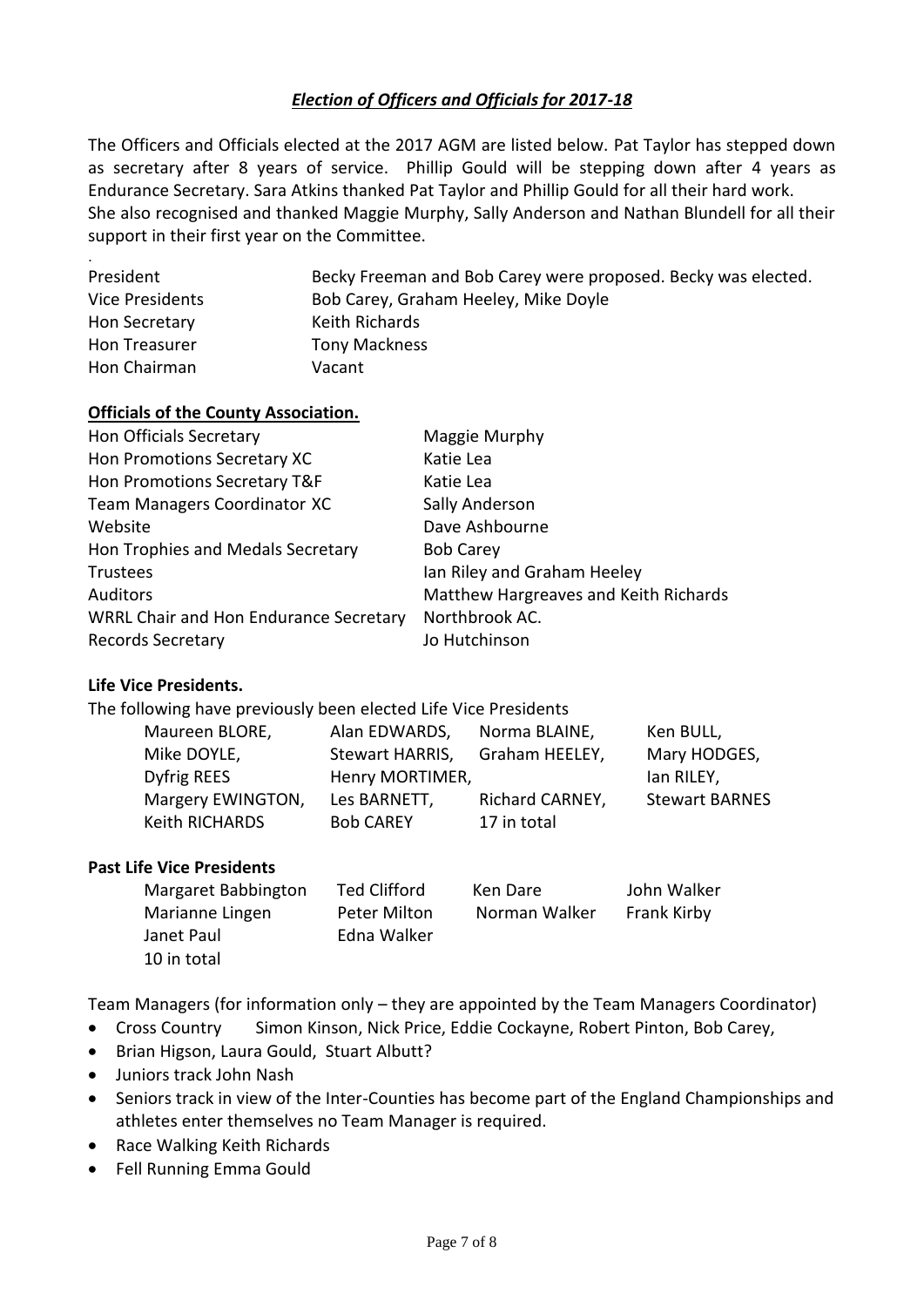# *Election of Officers and Officials for 2017-18*

The Officers and Officials elected at the 2017 AGM are listed below. Pat Taylor has stepped down as secretary after 8 years of service. Phillip Gould will be stepping down after 4 years as Endurance Secretary. Sara Atkins thanked Pat Taylor and Phillip Gould for all their hard work. She also recognised and thanked Maggie Murphy, Sally Anderson and Nathan Blundell for all their support in their first year on the Committee.

| President              | Becky Freeman and Bob Carey were proposed. Becky was elected. |
|------------------------|---------------------------------------------------------------|
| <b>Vice Presidents</b> | Bob Carey, Graham Heeley, Mike Doyle                          |
| Hon Secretary          | Keith Richards                                                |
| Hon Treasurer          | <b>Tony Mackness</b>                                          |
| Hon Chairman           | Vacant                                                        |

#### **Officials of the County Association.**

| <b>Hon Officials Secretary</b>         | Maggie Murphy                         |
|----------------------------------------|---------------------------------------|
| Hon Promotions Secretary XC            | Katie Lea                             |
| Hon Promotions Secretary T&F           | Katie Lea                             |
| Team Managers Coordinator XC           | Sally Anderson                        |
| Website                                | Dave Ashbourne                        |
| Hon Trophies and Medals Secretary      | <b>Bob Carey</b>                      |
| Trustees                               | Ian Riley and Graham Heeley           |
| <b>Auditors</b>                        | Matthew Hargreaves and Keith Richards |
| WRRL Chair and Hon Endurance Secretary | Northbrook AC.                        |
| <b>Records Secretary</b>               | Jo Hutchinson                         |

#### **Life Vice Presidents.**

The following have previously been elected Life Vice Presidents

| Maureen BLORE,    | Alan EDWARDS,    | Norma BLAINE,   | Ken BULL,             |
|-------------------|------------------|-----------------|-----------------------|
| Mike DOYLE,       | Stewart HARRIS,  | Graham HEELEY,  | Mary HODGES,          |
| Dyfrig REES       | Henry MORTIMER,  |                 | lan RILEY,            |
| Margery EWINGTON, | Les BARNETT,     | Richard CARNEY, | <b>Stewart BARNES</b> |
| Keith RICHARDS    | <b>Bob CAREY</b> | 17 in total     |                       |

#### **Past Life Vice Presidents**

| Margaret Babbington | <b>Ted Clifford</b> | Ken Dare      | John Walker        |
|---------------------|---------------------|---------------|--------------------|
| Marianne Lingen     | Peter Milton        | Norman Walker | <b>Frank Kirby</b> |
| Janet Paul          | Edna Walker         |               |                    |
| 10 in total         |                     |               |                    |

Team Managers (for information only – they are appointed by the Team Managers Coordinator)

- Cross Country Simon Kinson, Nick Price, Eddie Cockayne, Robert Pinton, Bob Carey,
- Brian Higson, Laura Gould, Stuart Albutt?
- Juniors track John Nash
- Seniors track in view of the Inter-Counties has become part of the England Championships and athletes enter themselves no Team Manager is required.
- Race Walking Keith Richards
- Fell Running Emma Gould